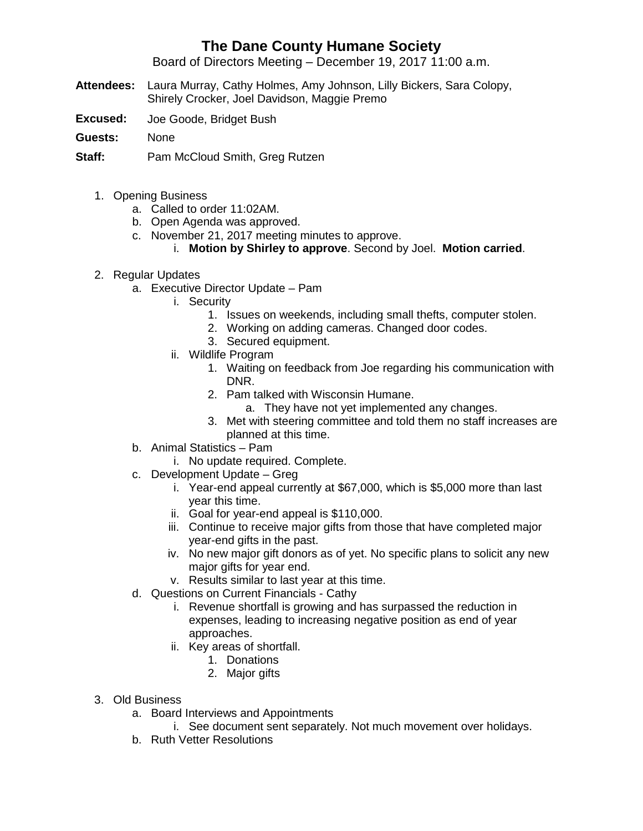## **The Dane County Humane Society**

Board of Directors Meeting – December 19, 2017 11:00 a.m.

- **Attendees:** Laura Murray, Cathy Holmes, Amy Johnson, Lilly Bickers, Sara Colopy, Shirely Crocker, Joel Davidson, Maggie Premo
- **Excused:** Joe Goode, Bridget Bush
- **Guests:** None

**Staff:** Pam McCloud Smith, Greg Rutzen

- 1. Opening Business
	- a. Called to order 11:02AM.
	- b. Open Agenda was approved.
	- c. November 21, 2017 meeting minutes to approve.
		- i. **Motion by Shirley to approve**. Second by Joel. **Motion carried**.
- 2. Regular Updates
	- a. Executive Director Update Pam
		- i. Security
			- 1. Issues on weekends, including small thefts, computer stolen.
			- 2. Working on adding cameras. Changed door codes.
			- 3. Secured equipment.
		- ii. Wildlife Program
			- 1. Waiting on feedback from Joe regarding his communication with DNR.
			- 2. Pam talked with Wisconsin Humane.
				- a. They have not yet implemented any changes.
			- 3. Met with steering committee and told them no staff increases are planned at this time.
	- b. Animal Statistics Pam
		- i. No update required. Complete.
	- c. Development Update Greg
		- i. Year-end appeal currently at \$67,000, which is \$5,000 more than last year this time.
		- ii. Goal for year-end appeal is \$110,000.
		- iii. Continue to receive major gifts from those that have completed major year-end gifts in the past.
		- iv. No new major gift donors as of yet. No specific plans to solicit any new major gifts for year end.
		- v. Results similar to last year at this time.
	- d. Questions on Current Financials Cathy
		- i. Revenue shortfall is growing and has surpassed the reduction in expenses, leading to increasing negative position as end of year approaches.
		- ii. Key areas of shortfall.
			- 1. Donations
			- 2. Major gifts
- 3. Old Business
	- a. Board Interviews and Appointments
		- i. See document sent separately. Not much movement over holidays.
	- b. Ruth Vetter Resolutions